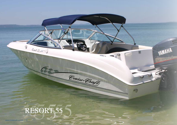